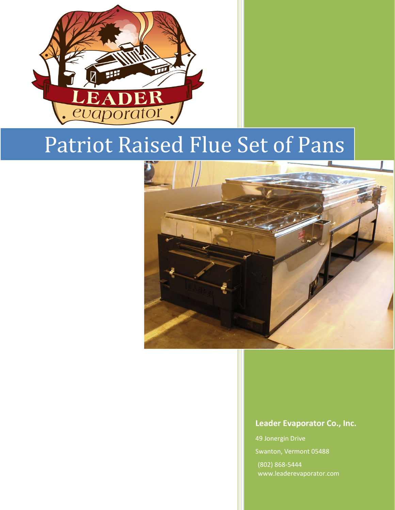

# Patriot Raised Flue Set of Pans



#### **Leader Evaporator Co., Inc.**

49 Jonergin Drive Swanton, Vermont 05488 (802) 868-5444 www.leaderevaporator.com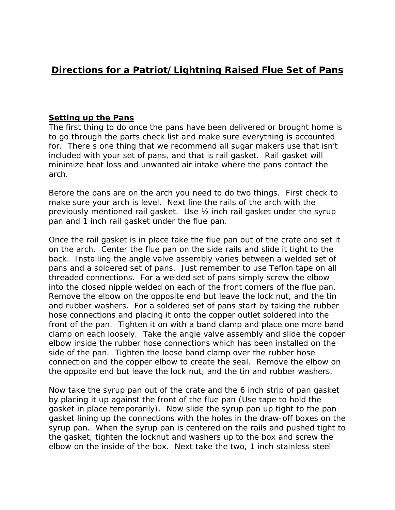# **Directions for a Patriot/Lightning Raised Flue Set of Pans**

#### **Setting up the Pans**

The first thing to do once the pans have been delivered or brought home is to go through the parts check list and make sure everything is accounted for. There s one thing that we recommend all sugar makers use that isn't included with your set of pans, and that is rail gasket. Rail gasket will minimize heat loss and unwanted air intake where the pans contact the arch.

Before the pans are on the arch you need to do two things. First check to make sure your arch is level. Next line the rails of the arch with the previously mentioned rail gasket. Use ½ inch rail gasket under the syrup pan and 1 inch rail gasket under the flue pan.

Once the rail gasket is in place take the flue pan out of the crate and set it on the arch. Center the flue pan on the side rails and slide it tight to the back. Installing the angle valve assembly varies between a welded set of pans and a soldered set of pans. Just remember to use Teflon tape on all threaded connections. For a welded set of pans simply screw the elbow into the closed nipple welded on each of the front corners of the flue pan. Remove the elbow on the opposite end but leave the lock nut, and the tin and rubber washers. For a soldered set of pans start by taking the rubber hose connections and placing it onto the copper outlet soldered into the front of the pan. Tighten it on with a band clamp and place one more band clamp on each loosely. Take the angle valve assembly and slide the copper elbow inside the rubber hose connections which has been installed on the side of the pan. Tighten the loose band clamp over the rubber hose connection and the copper elbow to create the seal. Remove the elbow on the opposite end but leave the lock nut, and the tin and rubber washers.

Now take the syrup pan out of the crate and the 6 inch strip of pan gasket by placing it up against the front of the flue pan (Use tape to hold the gasket in place temporarily). Now slide the syrup pan up tight to the pan gasket lining up the connections with the holes in the draw-off boxes on the syrup pan. When the syrup pan is centered on the rails and pushed tight to the gasket, tighten the locknut and washers up to the box and screw the elbow on the inside of the box. Next take the two, 1 inch stainless steel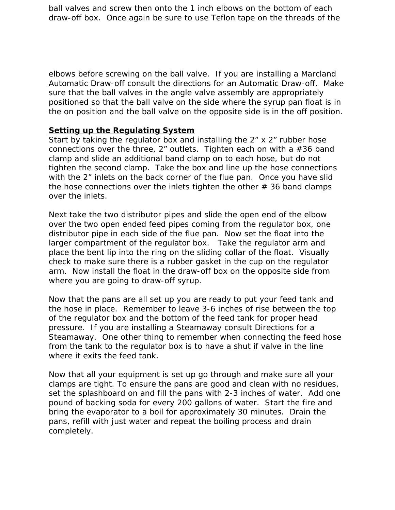ball valves and screw then onto the 1 inch elbows on the bottom of each draw-off box. Once again be sure to use Teflon tape on the threads of the

elbows before screwing on the ball valve. If you are installing a Marcland Automatic Draw-off consult the directions for an Automatic Draw-off. Make sure that the ball valves in the angle valve assembly are appropriately positioned so that the ball valve on the side where the syrup pan float is in the on position and the ball valve on the opposite side is in the off position.

#### **Setting up the Regulating System**

Start by taking the regulator box and installing the 2" x 2" rubber hose connections over the three,  $2<sup>r</sup>$  outlets. Tighten each on with a  $#36$  band clamp and slide an additional band clamp on to each hose, but do not tighten the second clamp. Take the box and line up the hose connections with the 2" inlets on the back corner of the flue pan. Once you have slid the hose connections over the inlets tighten the other  $# 36$  band clamps over the inlets.

Next take the two distributor pipes and slide the open end of the elbow over the two open ended feed pipes coming from the regulator box, one distributor pipe in each side of the flue pan. Now set the float into the larger compartment of the regulator box. Take the regulator arm and place the bent lip into the ring on the sliding collar of the float. Visually check to make sure there is a rubber gasket in the cup on the regulator arm. Now install the float in the draw-off box on the opposite side from where you are going to draw-off syrup.

Now that the pans are all set up you are ready to put your feed tank and the hose in place. Remember to leave 3-6 inches of rise between the top of the regulator box and the bottom of the feed tank for proper head pressure. If you are installing a Steamaway consult Directions for a Steamaway. One other thing to remember when connecting the feed hose from the tank to the regulator box is to have a shut if valve in the line where it exits the feed tank.

Now that all your equipment is set up go through and make sure all your clamps are tight. To ensure the pans are good and clean with no residues, set the splashboard on and fill the pans with 2-3 inches of water. Add one pound of backing soda for every 200 gallons of water. Start the fire and bring the evaporator to a boil for approximately 30 minutes. Drain the pans, refill with just water and repeat the boiling process and drain completely.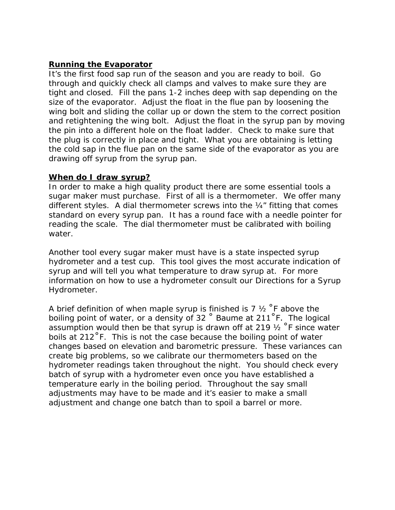## **Running the Evaporator**

It's the first food sap run of the season and you are ready to boil. Go through and quickly check all clamps and valves to make sure they are tight and closed. Fill the pans 1-2 inches deep with sap depending on the size of the evaporator. Adjust the float in the flue pan by loosening the wing bolt and sliding the collar up or down the stem to the correct position and retightening the wing bolt. Adjust the float in the syrup pan by moving the pin into a different hole on the float ladder. Check to make sure that the plug is correctly in place and tight. What you are obtaining is letting the cold sap in the flue pan on the same side of the evaporator as you are drawing off syrup from the syrup pan.

### **When do I draw syrup?**

In order to make a high quality product there are some essential tools a sugar maker must purchase. First of all is a thermometer. We offer many different styles. A dial thermometer screws into the ¼" fitting that comes standard on every syrup pan. It has a round face with a needle pointer for reading the scale. The dial thermometer must be calibrated with boiling water.

Another tool every sugar maker must have is a state inspected syrup hydrometer and a test cup. This tool gives the most accurate indication of syrup and will tell you what temperature to draw syrup at. For more information on how to use a hydrometer consult our Directions for a Syrup Hydrometer.

A brief definition of when maple syrup is finished is 7  $\frac{1}{2}$  °F above the boiling point of water, or a density of 32 ˚ Baume at 211˚F. The logical assumption would then be that syrup is drawn off at 219  $\frac{1}{2}$  °F since water boils at 212˚F. This is not the case because the boiling point of water changes based on elevation and barometric pressure. These variances can create big problems, so we calibrate our thermometers based on the hydrometer readings taken throughout the night. You should check every batch of syrup with a hydrometer even once you have established a temperature early in the boiling period. Throughout the say small adjustments may have to be made and it's easier to make a small adjustment and change one batch than to spoil a barrel or more.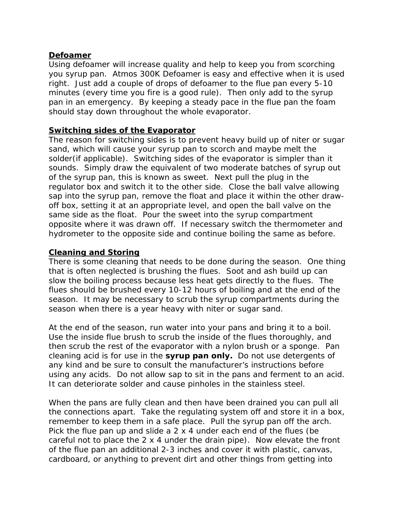# **Defoamer**

Using defoamer will increase quality and help to keep you from scorching you syrup pan. Atmos 300K Defoamer is easy and effective when it is used right. Just add a couple of drops of defoamer to the flue pan every 5-10 minutes (every time you fire is a good rule). Then only add to the syrup pan in an emergency. By keeping a steady pace in the flue pan the foam should stay down throughout the whole evaporator.

## **Switching sides of the Evaporator**

The reason for switching sides is to prevent heavy build up of niter or sugar sand, which will cause your syrup pan to scorch and maybe melt the solder(if applicable). Switching sides of the evaporator is simpler than it sounds. Simply draw the equivalent of two moderate batches of syrup out of the syrup pan, this is known as sweet. Next pull the plug in the regulator box and switch it to the other side. Close the ball valve allowing sap into the syrup pan, remove the float and place it within the other drawoff box, setting it at an appropriate level, and open the ball valve on the same side as the float. Pour the sweet into the syrup compartment opposite where it was drawn off. If necessary switch the thermometer and hydrometer to the opposite side and continue boiling the same as before.

# **Cleaning and Storing**

There is some cleaning that needs to be done during the season. One thing that is often neglected is brushing the flues. Soot and ash build up can slow the boiling process because less heat gets directly to the flues. The flues should be brushed every 10-12 hours of boiling and at the end of the season. It may be necessary to scrub the syrup compartments during the season when there is a year heavy with niter or sugar sand.

At the end of the season, run water into your pans and bring it to a boil. Use the inside flue brush to scrub the inside of the flues thoroughly, and then scrub the rest of the evaporator with a nylon brush or a sponge. Pan cleaning acid is for use in the **syrup pan only.** Do not use detergents of any kind and be sure to consult the manufacturer's instructions before using any acids. Do not allow sap to sit in the pans and ferment to an acid. It can deteriorate solder and cause pinholes in the stainless steel.

When the pans are fully clean and then have been drained you can pull all the connections apart. Take the regulating system off and store it in a box, remember to keep them in a safe place. Pull the syrup pan off the arch. Pick the flue pan up and slide a 2 x 4 under each end of the flues (be careful not to place the 2 x 4 under the drain pipe). Now elevate the front of the flue pan an additional 2-3 inches and cover it with plastic, canvas, cardboard, or anything to prevent dirt and other things from getting into